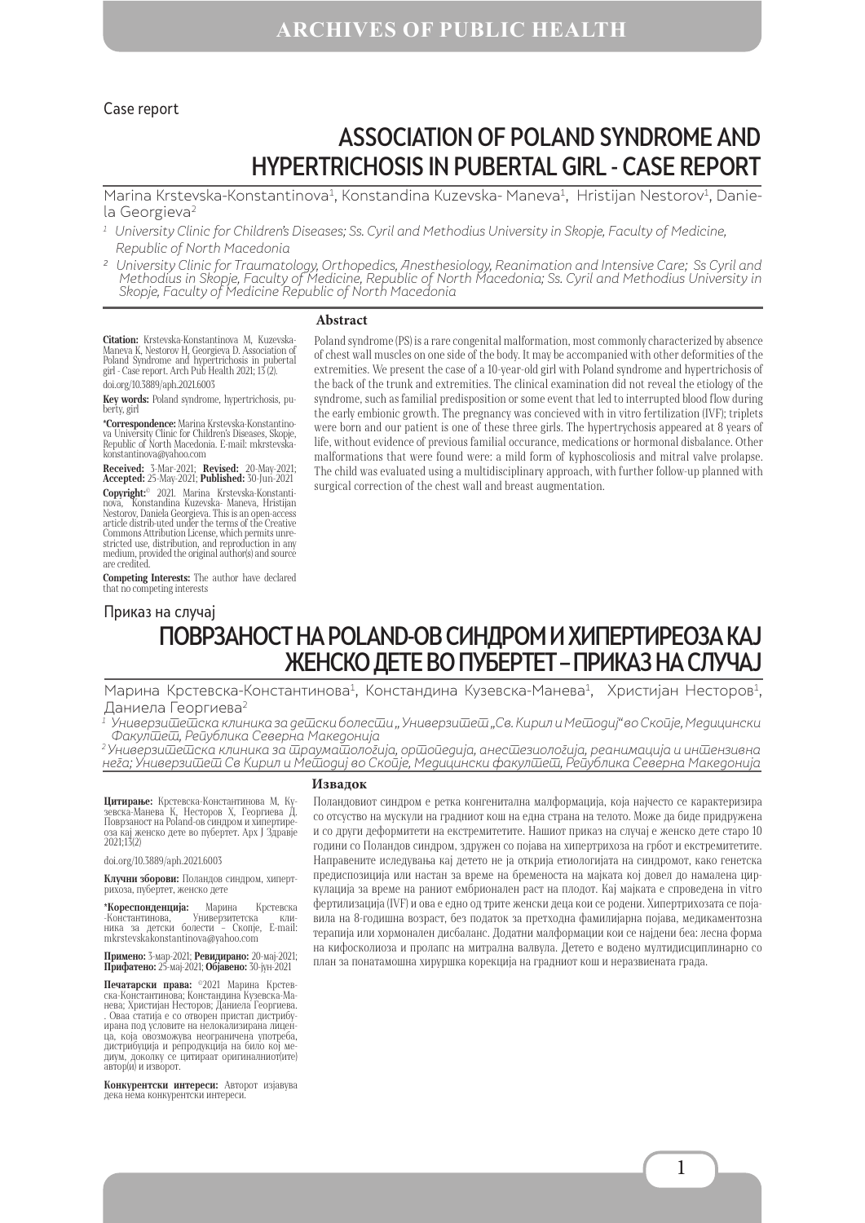#### Case report

# ASSOCIATION OF POLAND SYNDROME AND HYPERTRICHOSIS IN PUBERTAL GIRL - CASE REPORT

Marina Krstevska-Konstantinova<sup>1</sup>, Konstandina Kuzevska- Maneva<sup>1</sup>, Hristijan Nestorov<sup>1</sup>, Daniela Georgieva<sup>2</sup>

- <sup>1</sup> University Clinic for Children's Diseases; Ss. Cyril and Methodius University in Skopje, Faculty of Medicine, Republic of North Macedonia
- <sup>2</sup> University Clinic for Traumatology, Orthopedics, Anesthesiology, Reanimation and Intensive Care; Ss Cyril and Methodius in Skopje, Faculty of Medicine, Republic of North Macedonia; Ss. Cyril and Methodius University in Skopje, Faculty of Medicine Republic of North Macedonia

#### **Abstract**

**Citation:** Krstevska-Konstantinova M, Kuzevska-<br>Maneva K, Nestorov H, Georgieva D. Association of<br>Poland Syndrome and hypertrichosis in pubertal<br>girl - Case report. Arch Pub Health 2021; 15 (2). doi.org/10.3889/aph.2021.6003

**Key words:** Poland syndrome, hypertrichosis, puberty, girl

**\*Correspondence:** Marina Krstevska-Konstantinova University Clinic for Children's Diseases, Skopje, Republic of North Macedonia. Е-mail: mkrstevskakonstantinova@yahoo.com

**Received:** 3-Mar-2021; **Revised:** 20-May-2021; **Accepted:** 25-May-2021; **Published:** 30-Jun-2021 **Copyright:**© 2021. Marina Krstevska-Konstanti- nova, Konstandina Kuzevska- Maneva, Hristijan Nestorov, Daniela Georgieva. This is an open-access article distrib-uted under the terms of the Creative Commons Attribution License, which permits unre- stricted use, distribution, and reproduction in any stricted use, distribution, and reproduction in any medium, provided the original author(s) and source are credited.

**Competing Interests:** The author have declared that no competing interests

Приказ на случај

Poland syndrome (PS) is a rare congenital malformation, most commonly characterized by absence of chest wall muscles on one side of the body. It may be accompanied with other deformities of the extremities. We present the case of a 10-year-old girl with Poland syndrome and hypertrichosis of the back of the trunk and extremities. The clinical examination did not reveal the etiology of the syndrome, such as familial predisposition or some event that led to interrupted blood flow during the early embionic growth. The pregnancy was concieved with in vitro fertilization (IVF); triplets were born and our patient is one of these three girls. The hypertrychosis appeared at 8 years of life, without evidence of previous familial occurance, medications or hormonal disbalance. Other malformations that were found were: a mild form of kyphoscoliosis and mitral valve prolapse. The child was evaluated using a multidisciplinary approach, with further follow-up planned with surgical correction of the chest wall and breast augmentation.

## ПОВРЗАНОСТ НА POLAND-OВ СИНДРОМ И ХИПЕРТИРЕОЗА КАЈ ЖЕНСКО ДЕТЕ ВО ПУБЕРТЕТ – ПРИКАЗ НА СЛУЧАЈ

Марина Крстевска-Константинова<sup>1</sup>, Констандина Кузевска-Манева<sup>1</sup>, Христијан Несторов<sup>1</sup>, Даниела Георгиева2

 $^{\rm 1}$  Универзи $\bar{\rm w}$ е $\bar{\rm w}$ ска клиника за де $\bar{\rm w}$ ски болес $\bar{\rm w}$ и "Универзи $\bar{\rm w}$ ев. Кирил и Ме $\bar{\rm w}$ одиј" во Ско $\bar{\rm u}$ је, Медицински Факултет, Република Северна Македонија

 $^2$ Универзи $\bar{{\omega}}$ е $\bar{{\omega}}$ ска клиника за  $\bar{{\omega}}$ раума $\bar{{\omega}}$ ло $\bar{{\omega}}$ аја, ор $\bar{{\omega}}$ одедија, иделогиологија, реанимација и ин $\bar{{\omega}}$ ензивна неѓа; Универзи $\bar u$ ет Св Кирил и Ме $\bar u$ одиј во Скойје, Медицински факул $\bar u$ е $\bar u$ , Рейублика Северна Македонија

**Цитирање:** Крстевска-Константинова М, Ку-<br>зевска-Манева К, Несторов X, Георгиева Д. Поврзаност на Poland-oв синдром и хипертире- оза кај женско дете во пубертет. Арх Ј Здравје 2021;13(2)

doi.org/10.3889/aph.2021.6003

**Клучни зборови:** Поландов синдром, хипертрихоза, пубертет, женско дете

**\*Кореспонденција:** Марина Крстевска -Константинова, Универзитетска кли-ника за детски болести – Скопје, E-mail: mkrstevskakonstantinova@yahoo.com

**Примено:** 3-мар-2021; **Ревидирано:** 20-мај-2021; **Прифатено:** 25-мај-2021; **Објавено:** 30-јун-2021

**Печатарски права: <sup>©</sup>2021** Марина Крстев-<br>Ска-Константинова; Констандина Кузевска-Ма-<br>нева; Христијан Несторов; Даниела Георгиева.<br>. Оваа статија е со отворен пристап дистрибу-. Оваа статија е со отворен пристап дистрибу- ирана под условите на нелокализирана лицен- ца, која овозможува неограничена употреба, дистрибуција и репродукција на било кој ме- диум, доколку се цитираат оригиналниот(ите) автор(и) и изворот.

**Конкурентски интереси:** Авторот изјавува дека нема конкурентски интереси.

#### **Извадок**

Поландовиот синдром е ретка конгенитална малформација, која најчесто се карактеризира со отсуство на мускули на градниот кош на една страна на телото. Може да биде придружена и со други деформитети на екстремитетите. Нашиот приказ на случај е женско дете старо 10 години со Поландов синдром, здружен со појава на хипертрихоза на грбот и екстремитетите. Направените иследувања кај детето не ја открија етиологијата на синдромот, како генетска предиспозиција или настан за време на бременоста на мајката кој довел до намалена циркулација за време на раниот ембрионален раст на плодот. Кај мајката е спроведена in vitro фертилизација (IVF) и ова е едно од трите женски деца кои се родени. Хипертрихозата се појавила на 8-годишна возраст, без податок за претходна фамилијарна појава, медикаментозна терапија или хормонален дисбаланс. Додатни малформации кои се најдени беа: лесна форма на кифосколиоза и пролапс на митрална валвула. Детето е водено мултидисциплинарно со план за понатамошна хируршка корекција на градниот кош и неразвиената града.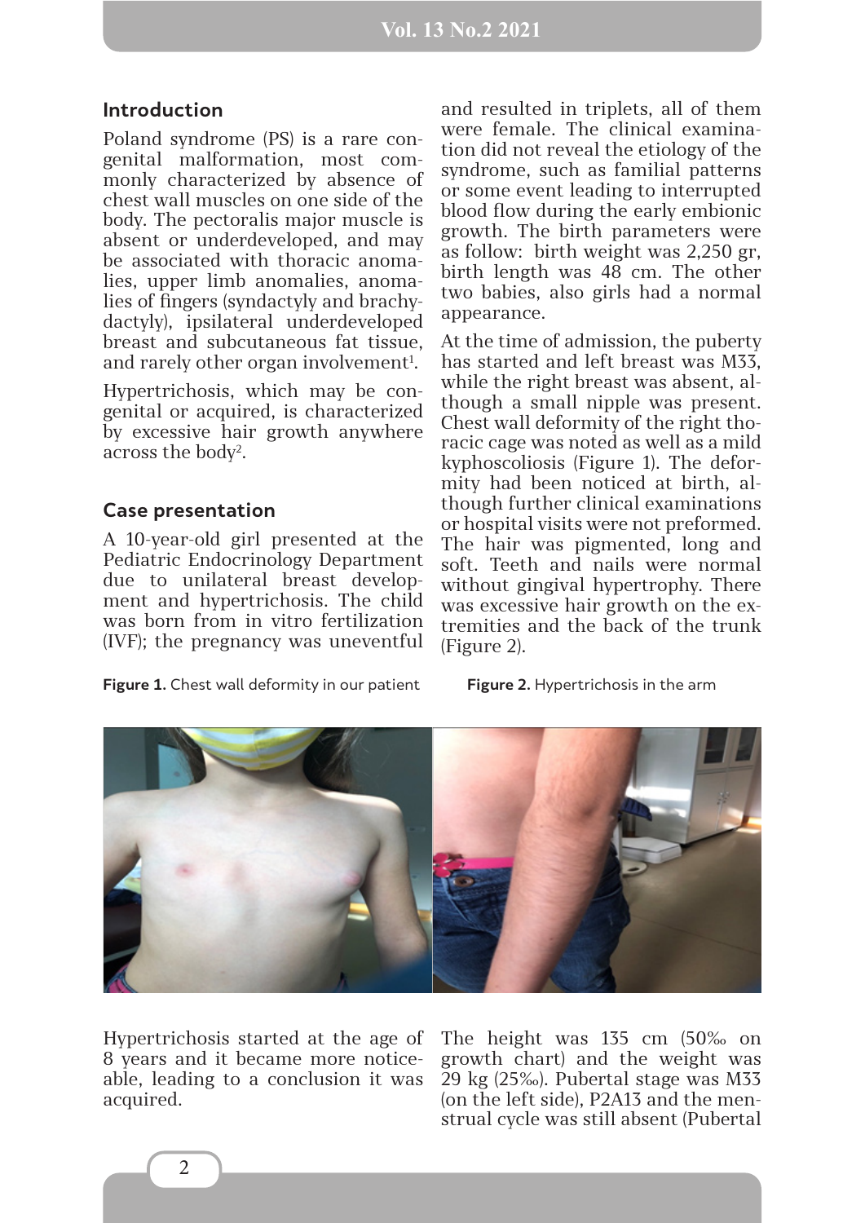#### **Introduction**

Poland syndrome (PS) is a rare congenital malformation, most commonly characterized by absence of chest wall muscles on one side of the body. The pectoralis major muscle is absent or underdeveloped, and may be associated with thoracic anomalies, upper limb anomalies, anomalies of fingers (syndactyly and brachydactyly), ipsilateral underdeveloped breast and subcutaneous fat tissue, and rarely other organ involvement<sup>1</sup>.

Hypertrichosis, which may be congenital or acquired, is characterized by excessive hair growth anywhere аcross the body2 .

### **Case presentation**

A 10-year-old girl presented at the Pediatric Endocrinology Department due to unilateral breast development and hypertrichosis. The child was born from in vitro fertilization (IVF); the pregnancy was uneventful

**Figure 1.** Chest wall deformity in our patient **Figure 2.** Hypertrichosis in the arm

and resulted in triplets, all of them were female. The clinical examination did not reveal the etiology of the syndrome, such as familial patterns or some event leading to interrupted blood flow during the early embionic growth. The birth parameters were as follow: birth weight was 2,250 gr, birth length was 48 cm. The other two babies, also girls had a normal appearance.

At the time of admission, the puberty has started and left breast was M33, while the right breast was absent, although a small nipple was present. Chest wall deformity of the right thoracic cage was noted as well as a mild kyphoscoliosis (Figure 1). The deformity had been noticed at birth, although further clinical examinations or hospital visits were not preformed. The hair was pigmented, long and soft. Teeth and nails were normal without gingival hypertrophy. There was excessive hair growth on the extremities and the back of the trunk (Figure 2).



Hypertrichosis started at the age of 8 years and it became more noticeable, leading to a conclusion it was acquired.

The height was 135 cm (50‰ on growth chart) and the weight was 29 kg (25‰). Pubertal stage was M33 (on the left side), P2A13 and the menstrual cycle was still absent (Pubertal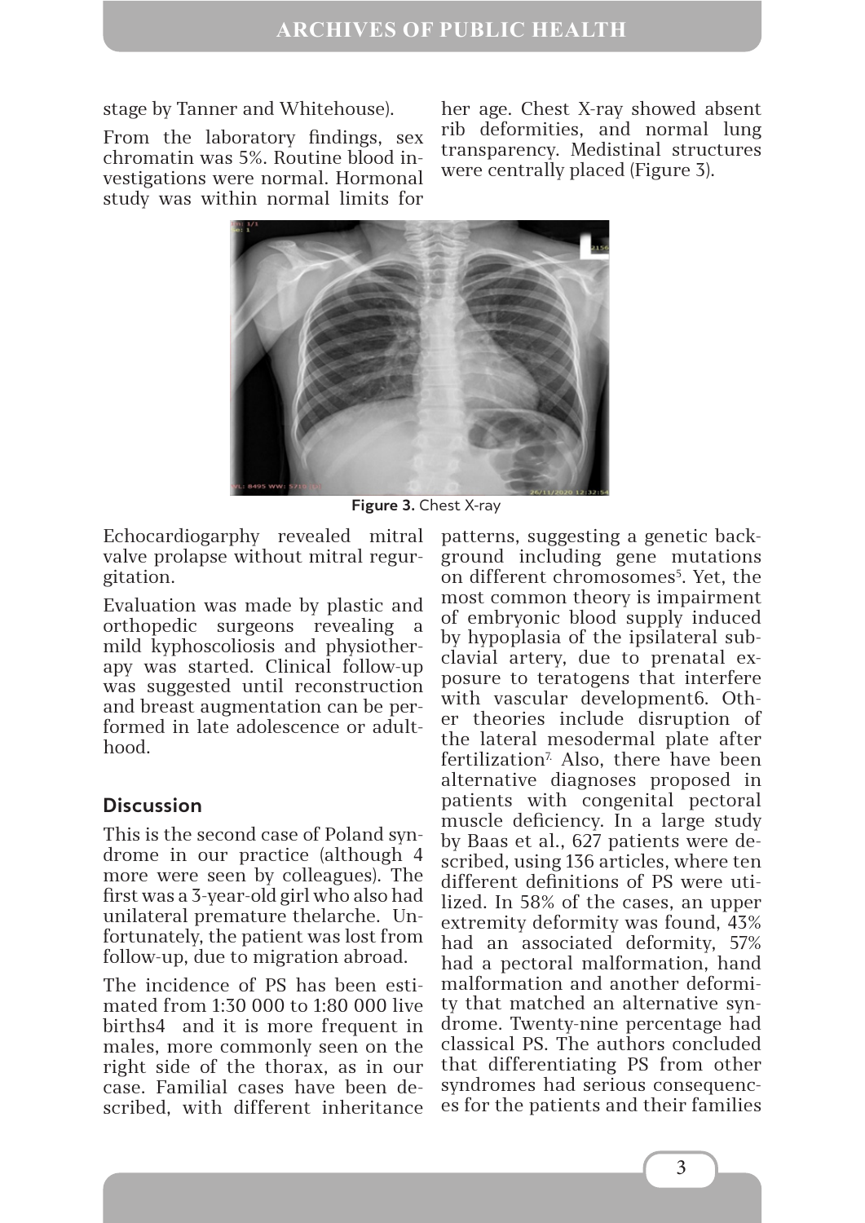stage by Tanner and Whitehouse).

From the laboratory findings, sex chromatin was 5%. Routine blood investigations were normal. Hormonal study was within normal limits for her age. Chest X-ray showed absent rib deformities, and normal lung transparency. Medistinal structures were centrally placed (Figure 3).



**Figure 3.** Chest X-ray

Echocardiogаrphy revealed mitral valve prolapse without mitral regurgitation.

Evaluation was made by plastic and orthopedic surgeons revealing a mild kyphoscoliosis and physiotherapy was started. Clinical follow-up was suggested until reconstruction and breast augmentation can be performed in late adolescence or adulthood.

## **Discussion**

This is the second case of Poland syndrome in our practice (although 4 more were seen by colleagues). The first was a 3-year-old girl who also had unilateral premature thelarche. Unfortunately, the patient was lost from follow-up, due to migration abroad.

The incidence of PS has been estimated from 1:30 000 to 1:80 000 live births4 and it is more frequent in males, more commonly seen on the right side of the thorax, as in our case. Familial cases have been described, with different inheritance patterns, suggesting a genetic background including gene mutations on different chromosomes<sup>5</sup>. Yet, the most common theory is impairment of embryonic blood supply induced by hypoplasia of the ipsilateral subclavial artery, due to prenatal exposure to teratogens that interfere with vascular development6. Other theories include disruption of the lateral mesodermal plate after fertilization<sup>7</sup>. Also, there have been alternative diagnoses proposed in patients with congenital pectoral muscle deficiency. In a large study by Baas et al., 627 patients were described, using 136 articles, where ten different definitions of PS were utilized. In 58% of the cases, an upper extremity deformity was found, 43% had an associated deformity, 57% had a pectoral malformation, hand malformation and another deformity that matched an alternative syndrome. Twenty-nine percentage had classical PS. The authors concluded that differentiating PS from other syndromes had serious consequences for the patients and their families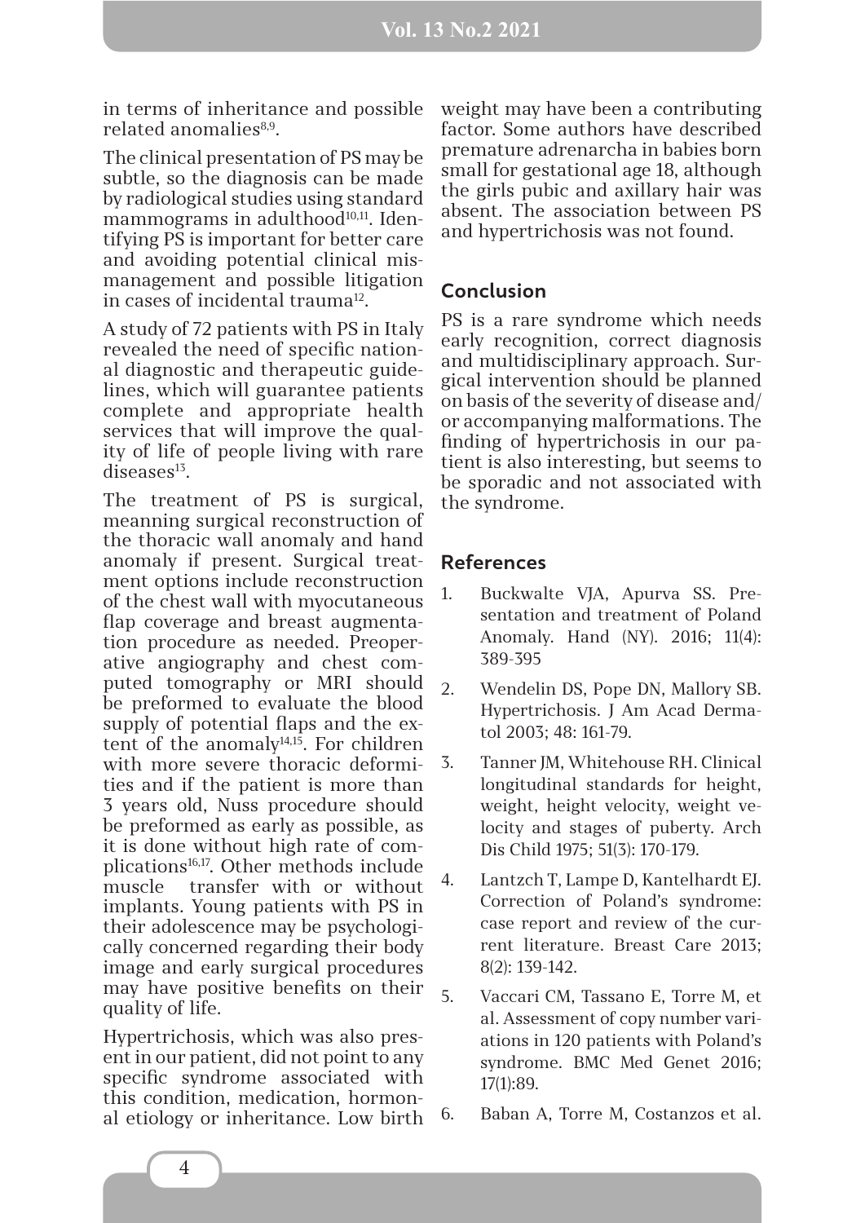in terms of inheritance and possible related anomalies<sup>8,9</sup>.

The clinical presentation of PS may be subtle, so the diagnosis can be made by radiological studies using standard mammograms in adulthood<sup>10,11</sup>. Identifying PS is important for better care and avoiding potential clinical mismanagement and possible litigation in cases of incidental trauma<sup>12</sup>.

A study of 72 patients with PS in Italy revealed the need of specific national diagnostic and therapeutic guidelines, which will guarantee patients complete and appropriate health services that will improve the quality of life of people living with rare  $diseases<sup>13</sup>$ .

The treatment of PS is surgical, meanning surgical reconstruction of the thoracic wall anomaly and hand anomaly if present. Surgical treatment options include reconstruction of the chest wall with myocutaneous flap coverage and breast augmentation procedure as needed. Preoperative angiography and chest computed tomography or MRI should be preformed to evaluate the blood supply of potential flaps and the extent of the anomaly<sup>14,15</sup>. For children with more severe thoracic deformities and if the patient is more than 3 years old, Nuss procedure should be preformed as early as possible, as it is done without high rate of complications16,17. Other methods include muscle transfer with or without implants. Young patients with PS in their adolescence may be psychologically concerned regarding their body image and early surgical procedures may have positive benefits on their quality of life.

Hypertrichosis, which was also present in our patient, did not point to any specific syndrome associated with this condition, medication, hormonal etiology or inheritance. Low birth weight may have been a contributing factor. Some authors have described premature adrenarcha in babies born small for gestational age 18, although the girls pubic and axillary hair was absent. The association between PS and hypertrichosis was not found.

### **Conclusion**

PS is a rare syndrome which needs early recognition, correct diagnosis and multidisciplinary approach. Surgical intervention should be planned on basis of the severity of disease and/ or accompanying malformations. The finding of hypertrichosis in our patient is also interesting, but seems to be sporadic and not associated with the syndrome.

#### **References**

- 1. Buckwalte VJA, Apurva SS. Presentation and treatment of Poland Anomaly. Hand (NY). 2016; 11(4): 389-395
- 2. Wendelin DS, Pope DN, Mallory SB. Hypertrichosis. J Am Acad Dermatol 2003; 48: 161-79.
- 3. Tanner JM, Whitehouse RH. Clinical longitudinal standards for height, weight, height velocity, weight velocity and stages of puberty. Arch Dis Child 1975; 51(3): 170-179.
- 4. Lantzch T, Lampe D, Kantelhardt EJ. Correction of Poland's syndrome: case report and review of the current literature. Breast Care 2013; 8(2): 139-142.
- 5. Vaccari CM, Tassano E, Torre M, et al. Assessment of copy number variations in 120 patients with Poland's syndrome. BMC Med Genet 2016; 17(1):89.
- 6. Baban A, Torre M, Costanzos et al.